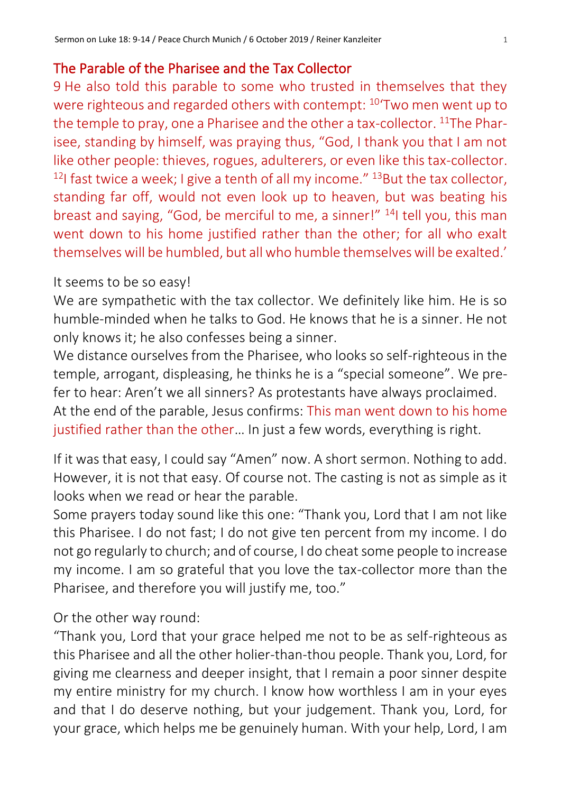## The Parable of the Pharisee and the Tax Collector

9 He also told this parable to some who trusted in themselves that they were righteous and regarded others with contempt: <sup>10</sup>'Two men went up to the temple to pray, one a Pharisee and the other a tax-collector. <sup>11</sup>The Pharisee, standing by himself, was praying thus, "God, I thank you that I am not like other people: thieves, rogues, adulterers, or even like this tax-collector. <sup>12</sup>I fast twice a week; I give a tenth of all my income."  $13$ But the tax collector, standing far off, would not even look up to heaven, but was beating his breast and saying, "God, be merciful to me, a sinner!" <sup>14</sup>I tell you, this man went down to his home justified rather than the other; for all who exalt themselves will be humbled, but all who humble themselves will be exalted.'

## It seems to be so easy!

We are sympathetic with the tax collector. We definitely like him. He is so humble-minded when he talks to God. He knows that he is a sinner. He not only knows it; he also confesses being a sinner.

We distance ourselves from the Pharisee, who looks so self-righteous in the temple, arrogant, displeasing, he thinks he is a "special someone". We prefer to hear: Aren't we all sinners? As protestants have always proclaimed. At the end of the parable, Jesus confirms: This man went down to his home justified rather than the other… In just a few words, everything is right.

If it was that easy, I could say "Amen" now. A short sermon. Nothing to add. However, it is not that easy. Of course not. The casting is not as simple as it looks when we read or hear the parable.

Some prayers today sound like this one: "Thank you, Lord that I am not like this Pharisee. I do not fast; I do not give ten percent from my income. I do not go regularly to church; and of course, I do cheat some people to increase my income. I am so grateful that you love the tax-collector more than the Pharisee, and therefore you will justify me, too."

Or the other way round:

"Thank you, Lord that your grace helped me not to be as self-righteous as this Pharisee and all the other holier-than-thou people. Thank you, Lord, for giving me clearness and deeper insight, that I remain a poor sinner despite my entire ministry for my church. I know how worthless I am in your eyes and that I do deserve nothing, but your judgement. Thank you, Lord, for your grace, which helps me be genuinely human. With your help, Lord, I am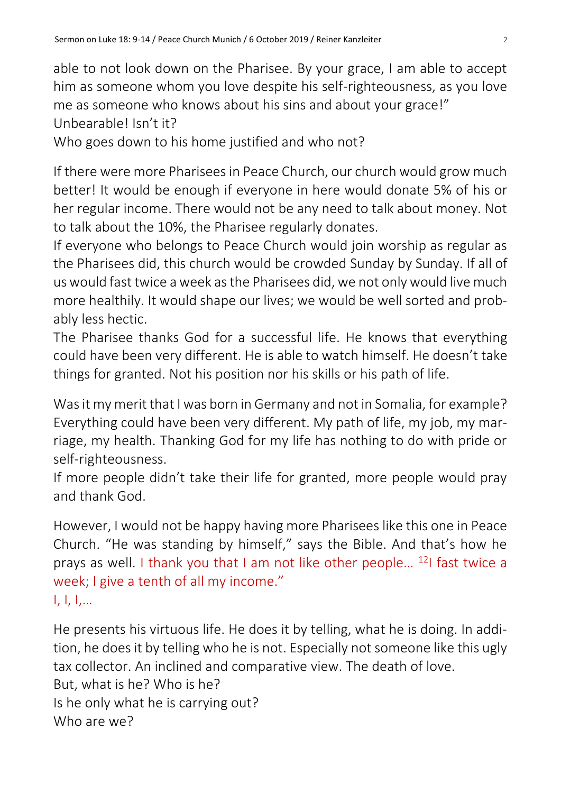able to not look down on the Pharisee. By your grace, I am able to accept him as someone whom you love despite his self-righteousness, as you love me as someone who knows about his sins and about your grace!" Unbearable! Isn't it?

Who goes down to his home justified and who not?

If there were more Pharisees in Peace Church, our church would grow much better! It would be enough if everyone in here would donate 5% of his or her regular income. There would not be any need to talk about money. Not to talk about the 10%, the Pharisee regularly donates.

If everyone who belongs to Peace Church would join worship as regular as the Pharisees did, this church would be crowded Sunday by Sunday. If all of us would fast twice a week as the Pharisees did, we not only would live much more healthily. It would shape our lives; we would be well sorted and probably less hectic.

The Pharisee thanks God for a successful life. He knows that everything could have been very different. He is able to watch himself. He doesn't take things for granted. Not his position nor his skills or his path of life.

Was it my merit that I was born in Germany and not in Somalia, for example? Everything could have been very different. My path of life, my job, my marriage, my health. Thanking God for my life has nothing to do with pride or self-righteousness.

If more people didn't take their life for granted, more people would pray and thank God.

However, I would not be happy having more Pharisees like this one in Peace Church. "He was standing by himself," says the Bible. And that's how he prays as well. I thank you that I am not like other people… <sup>12</sup>I fast twice a week; I give a tenth of all my income." I, I, I,…

He presents his virtuous life. He does it by telling, what he is doing. In addition, he does it by telling who he is not. Especially not someone like this ugly tax collector. An inclined and comparative view. The death of love. But, what is he? Who is he? Is he only what he is carrying out? Who are we?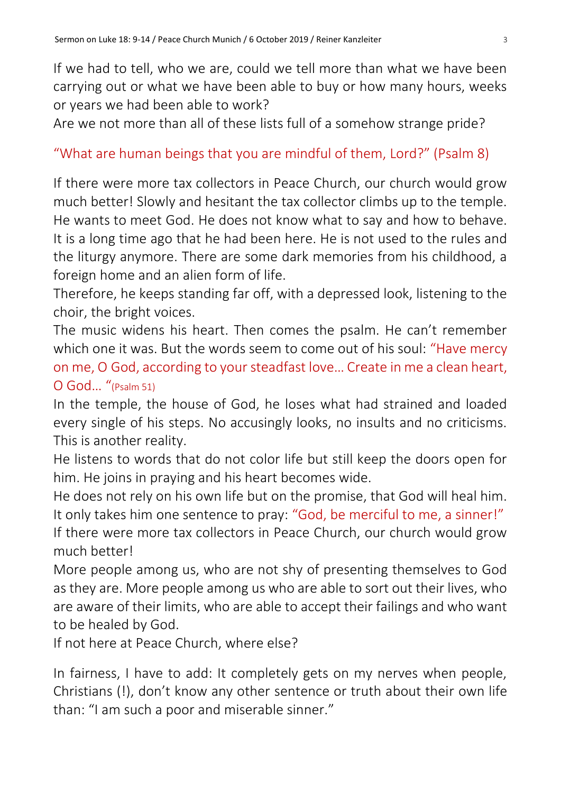If we had to tell, who we are, could we tell more than what we have been carrying out or what we have been able to buy or how many hours, weeks or years we had been able to work?

Are we not more than all of these lists full of a somehow strange pride?

## "What are human beings that you are mindful of them, Lord?" (Psalm 8)

If there were more tax collectors in Peace Church, our church would grow much better! Slowly and hesitant the tax collector climbs up to the temple. He wants to meet God. He does not know what to say and how to behave. It is a long time ago that he had been here. He is not used to the rules and the liturgy anymore. There are some dark memories from his childhood, a foreign home and an alien form of life.

Therefore, he keeps standing far off, with a depressed look, listening to the choir, the bright voices.

The music widens his heart. Then comes the psalm. He can't remember which one it was. But the words seem to come out of his soul: "Have mercy on me, O God, according to your steadfast love… Create in me a clean heart, O God… "(Psalm 51)

In the temple, the house of God, he loses what had strained and loaded every single of his steps. No accusingly looks, no insults and no criticisms. This is another reality.

He listens to words that do not color life but still keep the doors open for him. He joins in praying and his heart becomes wide.

He does not rely on his own life but on the promise, that God will heal him. It only takes him one sentence to pray: "God, be merciful to me, a sinner!" If there were more tax collectors in Peace Church, our church would grow much better!

More people among us, who are not shy of presenting themselves to God as they are. More people among us who are able to sort out their lives, who are aware of their limits, who are able to accept their failings and who want to be healed by God.

If not here at Peace Church, where else?

In fairness, I have to add: It completely gets on my nerves when people, Christians (!), don't know any other sentence or truth about their own life than: "I am such a poor and miserable sinner."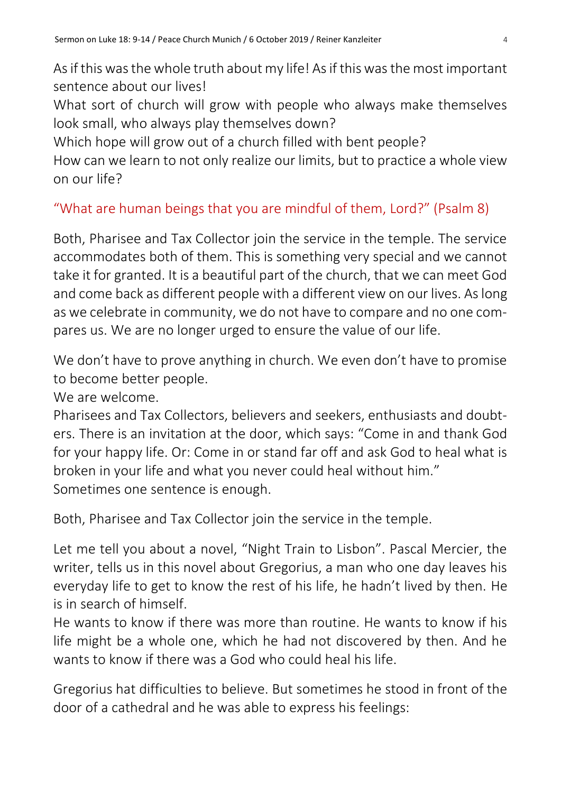As if this was the whole truth about my life! As if this was the most important sentence about our lives!

What sort of church will grow with people who always make themselves look small, who always play themselves down?

Which hope will grow out of a church filled with bent people?

How can we learn to not only realize our limits, but to practice a whole view on our life?

## "What are human beings that you are mindful of them, Lord?" (Psalm 8)

Both, Pharisee and Tax Collector join the service in the temple. The service accommodates both of them. This is something very special and we cannot take it for granted. It is a beautiful part of the church, that we can meet God and come back as different people with a different view on our lives. As long as we celebrate in community, we do not have to compare and no one compares us. We are no longer urged to ensure the value of our life.

We don't have to prove anything in church. We even don't have to promise to become better people.

We are welcome.

Pharisees and Tax Collectors, believers and seekers, enthusiasts and doubters. There is an invitation at the door, which says: "Come in and thank God for your happy life. Or: Come in or stand far off and ask God to heal what is broken in your life and what you never could heal without him." Sometimes one sentence is enough.

Both, Pharisee and Tax Collector join the service in the temple.

Let me tell you about a novel, "Night Train to Lisbon". Pascal Mercier, the writer, tells us in this novel about Gregorius, a man who one day leaves his everyday life to get to know the rest of his life, he hadn't lived by then. He is in search of himself.

He wants to know if there was more than routine. He wants to know if his life might be a whole one, which he had not discovered by then. And he wants to know if there was a God who could heal his life.

Gregorius hat difficulties to believe. But sometimes he stood in front of the door of a cathedral and he was able to express his feelings: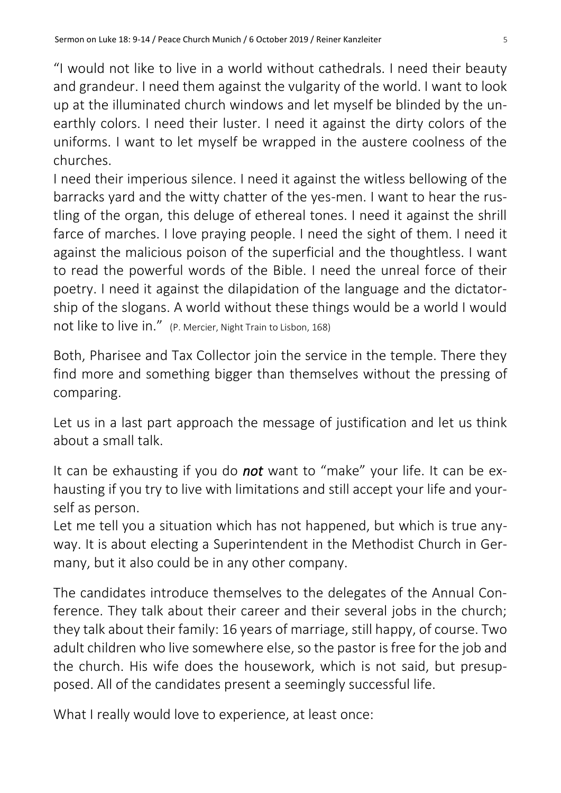"I would not like to live in a world without cathedrals. I need their beauty and grandeur. I need them against the vulgarity of the world. I want to look up at the illuminated church windows and let myself be blinded by the unearthly colors. I need their luster. I need it against the dirty colors of the uniforms. I want to let myself be wrapped in the austere coolness of the churches.

I need their imperious silence. I need it against the witless bellowing of the barracks yard and the witty chatter of the yes-men. I want to hear the rustling of the organ, this deluge of ethereal tones. I need it against the shrill farce of marches. I love praying people. I need the sight of them. I need it against the malicious poison of the superficial and the thoughtless. I want to read the powerful words of the Bible. I need the unreal force of their poetry. I need it against the dilapidation of the language and the dictatorship of the slogans. A world without these things would be a world I would not like to live in." (P. Mercier, Night Train to Lisbon, 168)

Both, Pharisee and Tax Collector join the service in the temple. There they find more and something bigger than themselves without the pressing of comparing.

Let us in a last part approach the message of justification and let us think about a small talk.

It can be exhausting if you do *not* want to "make" your life. It can be exhausting if you try to live with limitations and still accept your life and yourself as person.

Let me tell you a situation which has not happened, but which is true anyway. It is about electing a Superintendent in the Methodist Church in Germany, but it also could be in any other company.

The candidates introduce themselves to the delegates of the Annual Conference. They talk about their career and their several jobs in the church; they talk about their family: 16 years of marriage, still happy, of course. Two adult children who live somewhere else, so the pastor is free for the job and the church. His wife does the housework, which is not said, but presupposed. All of the candidates present a seemingly successful life.

What I really would love to experience, at least once: